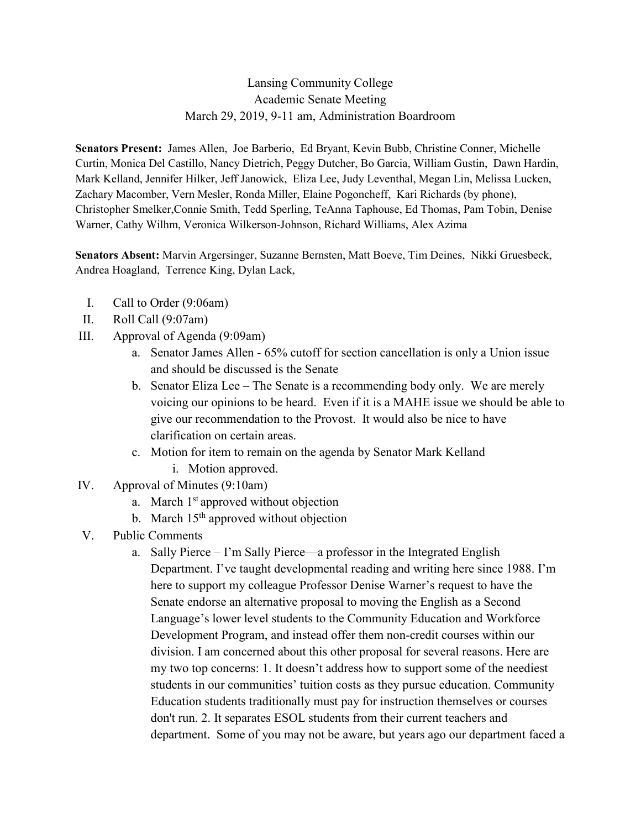## Lansing Community College Academic Senate Meeting March 29, 2019, 9-11 am, Administration Boardroom

**Senators Present:** James Allen, Joe Barberio, Ed Bryant, Kevin Bubb, Christine Conner, Michelle Curtin, Monica Del Castillo, Nancy Dietrich, Peggy Dutcher, Bo Garcia, William Gustin, Dawn Hardin, Mark Kelland, Jennifer Hilker, Jeff Janowick, Eliza Lee, Judy Leventhal, Megan Lin, Melissa Lucken, Zachary Macomber, Vern Mesler, Ronda Miller, Elaine Pogoncheff, Kari Richards (by phone), Christopher Smelker,Connie Smith, Tedd Sperling, TeAnna Taphouse, Ed Thomas, Pam Tobin, Denise Warner, Cathy Wilhm, Veronica Wilkerson-Johnson, Richard Williams, Alex Azima

**Senators Absent:** Marvin Argersinger, Suzanne Bernsten, Matt Boeve, Tim Deines, Nikki Gruesbeck, Andrea Hoagland, Terrence King, Dylan Lack,

- I. Call to Order (9:06am)
- II. Roll Call (9:07am)
- III. Approval of Agenda (9:09am)
	- a. Senator James Allen 65% cutoff for section cancellation is only a Union issue and should be discussed is the Senate
	- b. Senator Eliza Lee The Senate is a recommending body only. We are merely voicing our opinions to be heard. Even if it is a MAHE issue we should be able to give our recommendation to the Provost. It would also be nice to have clarification on certain areas.
	- c. Motion for item to remain on the agenda by Senator Mark Kelland i. Motion approved.
- IV. Approval of Minutes (9:10am)
	- a. March  $1<sup>st</sup>$  approved without objection
	- b. March  $15<sup>th</sup>$  approved without objection
- V. Public Comments
	- a. Sally Pierce I'm Sally Pierce—a professor in the Integrated English Department. I've taught developmental reading and writing here since 1988. I'm here to support my colleague Professor Denise Warner's request to have the Senate endorse an alternative proposal to moving the English as a Second Language's lower level students to the Community Education and Workforce Development Program, and instead offer them non-credit courses within our division. I am concerned about this other proposal for several reasons. Here are my two top concerns: 1. It doesn't address how to support some of the neediest students in our communities' tuition costs as they pursue education. Community Education students traditionally must pay for instruction themselves or courses don't run. 2. It separates ESOL students from their current teachers and department. Some of you may not be aware, but years ago our department faced a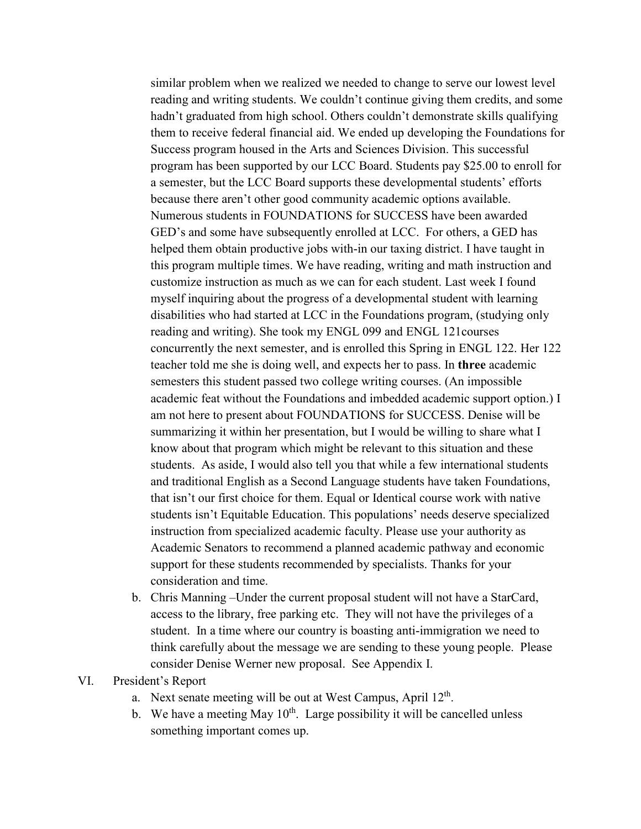similar problem when we realized we needed to change to serve our lowest level reading and writing students. We couldn't continue giving them credits, and some hadn't graduated from high school. Others couldn't demonstrate skills qualifying them to receive federal financial aid. We ended up developing the Foundations for Success program housed in the Arts and Sciences Division. This successful program has been supported by our LCC Board. Students pay \$25.00 to enroll for a semester, but the LCC Board supports these developmental students' efforts because there aren't other good community academic options available. Numerous students in FOUNDATIONS for SUCCESS have been awarded GED's and some have subsequently enrolled at LCC. For others, a GED has helped them obtain productive jobs with-in our taxing district. I have taught in this program multiple times. We have reading, writing and math instruction and customize instruction as much as we can for each student. Last week I found myself inquiring about the progress of a developmental student with learning disabilities who had started at LCC in the Foundations program, (studying only reading and writing). She took my ENGL 099 and ENGL 121courses concurrently the next semester, and is enrolled this Spring in ENGL 122. Her 122 teacher told me she is doing well, and expects her to pass. In **three** academic semesters this student passed two college writing courses. (An impossible academic feat without the Foundations and imbedded academic support option.) I am not here to present about FOUNDATIONS for SUCCESS. Denise will be summarizing it within her presentation, but I would be willing to share what I know about that program which might be relevant to this situation and these students. As aside, I would also tell you that while a few international students and traditional English as a Second Language students have taken Foundations, that isn't our first choice for them. Equal or Identical course work with native students isn't Equitable Education. This populations' needs deserve specialized instruction from specialized academic faculty. Please use your authority as Academic Senators to recommend a planned academic pathway and economic support for these students recommended by specialists. Thanks for your consideration and time.

- b. Chris Manning –Under the current proposal student will not have a StarCard, access to the library, free parking etc. They will not have the privileges of a student. In a time where our country is boasting anti-immigration we need to think carefully about the message we are sending to these young people. Please consider Denise Werner new proposal. See Appendix I.
- VI. President's Report
	- a. Next senate meeting will be out at West Campus, April  $12<sup>th</sup>$ .
	- b. We have a meeting May  $10^{th}$ . Large possibility it will be cancelled unless something important comes up.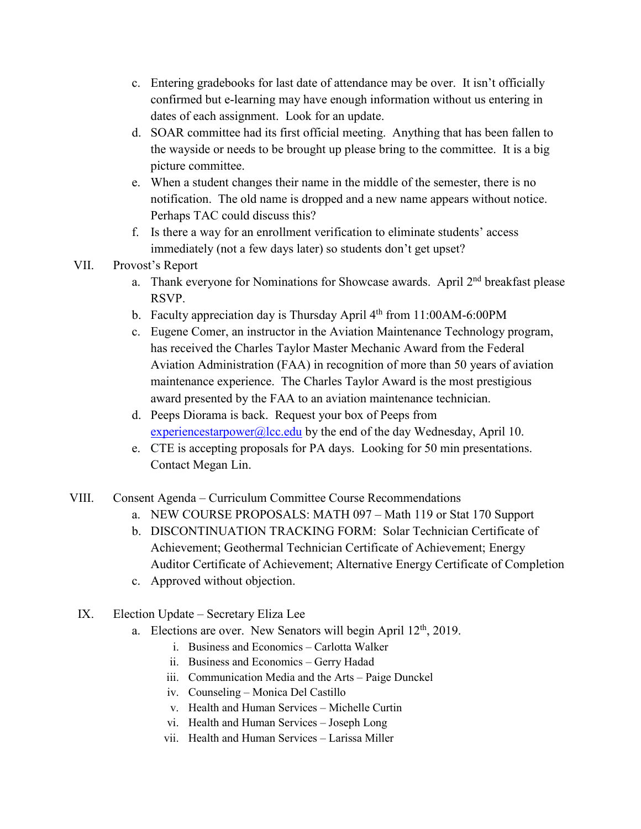- c. Entering gradebooks for last date of attendance may be over. It isn't officially confirmed but e-learning may have enough information without us entering in dates of each assignment. Look for an update.
- d. SOAR committee had its first official meeting. Anything that has been fallen to the wayside or needs to be brought up please bring to the committee. It is a big picture committee.
- e. When a student changes their name in the middle of the semester, there is no notification. The old name is dropped and a new name appears without notice. Perhaps TAC could discuss this?
- f. Is there a way for an enrollment verification to eliminate students' access immediately (not a few days later) so students don't get upset?
- VII. Provost's Report
	- a. Thank everyone for Nominations for Showcase awards. April  $2<sup>nd</sup>$  breakfast please RSVP.
	- b. Faculty appreciation day is Thursday April 4<sup>th</sup> from 11:00AM-6:00PM
	- c. Eugene Comer, an instructor in the Aviation Maintenance Technology program, has received the Charles Taylor Master Mechanic Award from the Federal Aviation Administration (FAA) in recognition of more than 50 years of aviation maintenance experience. The Charles Taylor Award is the most prestigious award presented by the FAA to an aviation maintenance technician.
	- d. Peeps Diorama is back. Request your box of Peeps from [experiencestarpower@lcc.edu](mailto:experiencestarpower@lcc.edu) by the end of the day Wednesday, April 10.
	- e. CTE is accepting proposals for PA days. Looking for 50 min presentations. Contact Megan Lin.
- VIII. Consent Agenda Curriculum Committee Course Recommendations
	- a. NEW COURSE PROPOSALS: MATH 097 Math 119 or Stat 170 Support
	- b. DISCONTINUATION TRACKING FORM: Solar Technician Certificate of Achievement; Geothermal Technician Certificate of Achievement; Energy Auditor Certificate of Achievement; Alternative Energy Certificate of Completion
	- c. Approved without objection.
	- IX. Election Update Secretary Eliza Lee
		- a. Elections are over. New Senators will begin April  $12<sup>th</sup>$ , 2019.
			- i. Business and Economics Carlotta Walker
			- ii. Business and Economics Gerry Hadad
			- iii. Communication Media and the Arts Paige Dunckel
			- iv. Counseling Monica Del Castillo
			- v. Health and Human Services Michelle Curtin
			- vi. Health and Human Services Joseph Long
			- vii. Health and Human Services Larissa Miller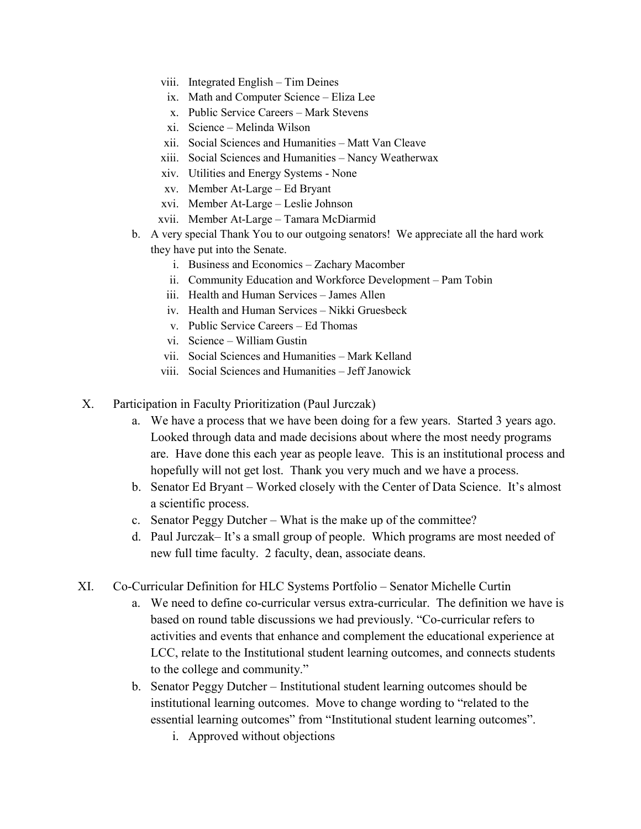- viii. Integrated English Tim Deines
- ix. Math and Computer Science Eliza Lee
- x. Public Service Careers Mark Stevens
- xi. Science Melinda Wilson
- xii. Social Sciences and Humanities Matt Van Cleave
- xiii. Social Sciences and Humanities Nancy Weatherwax
- xiv. Utilities and Energy Systems None
- xv. Member At-Large Ed Bryant
- xvi. Member At-Large Leslie Johnson
- xvii. Member At-Large Tamara McDiarmid
- b. A very special Thank You to our outgoing senators! We appreciate all the hard work they have put into the Senate.
	- i. Business and Economics Zachary Macomber
	- ii. Community Education and Workforce Development Pam Tobin
	- iii. Health and Human Services James Allen
	- iv. Health and Human Services Nikki Gruesbeck
	- v. Public Service Careers Ed Thomas
	- vi. Science William Gustin
	- vii. Social Sciences and Humanities Mark Kelland
	- viii. Social Sciences and Humanities Jeff Janowick
- X. Participation in Faculty Prioritization (Paul Jurczak)
	- a. We have a process that we have been doing for a few years. Started 3 years ago. Looked through data and made decisions about where the most needy programs are. Have done this each year as people leave. This is an institutional process and hopefully will not get lost. Thank you very much and we have a process.
	- b. Senator Ed Bryant Worked closely with the Center of Data Science. It's almost a scientific process.
	- c. Senator Peggy Dutcher What is the make up of the committee?
	- d. Paul Jurczak– It's a small group of people. Which programs are most needed of new full time faculty. 2 faculty, dean, associate deans.
- XI. Co-Curricular Definition for HLC Systems Portfolio Senator Michelle Curtin
	- a. We need to define co-curricular versus extra-curricular. The definition we have is based on round table discussions we had previously. "Co-curricular refers to activities and events that enhance and complement the educational experience at LCC, relate to the Institutional student learning outcomes, and connects students to the college and community."
	- b. Senator Peggy Dutcher Institutional student learning outcomes should be institutional learning outcomes. Move to change wording to "related to the essential learning outcomes" from "Institutional student learning outcomes".
		- i. Approved without objections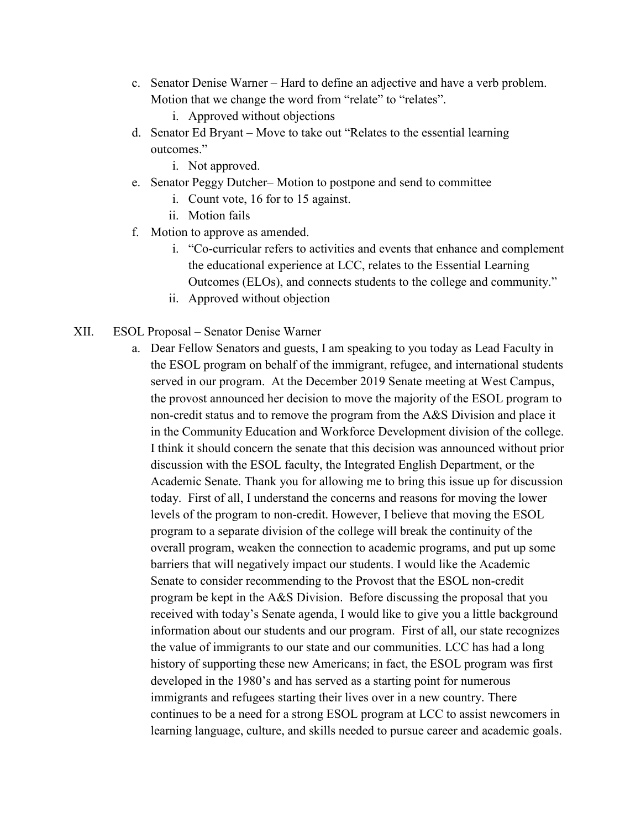- c. Senator Denise Warner Hard to define an adjective and have a verb problem. Motion that we change the word from "relate" to "relates".
	- i. Approved without objections
- d. Senator Ed Bryant Move to take out "Relates to the essential learning outcomes."
	- i. Not approved.
- e. Senator Peggy Dutcher– Motion to postpone and send to committee
	- i. Count vote, 16 for to 15 against.
	- ii. Motion fails
- f. Motion to approve as amended.
	- i. "Co-curricular refers to activities and events that enhance and complement the educational experience at LCC, relates to the Essential Learning Outcomes (ELOs), and connects students to the college and community."
	- ii. Approved without objection
- XII. ESOL Proposal Senator Denise Warner
	- a. Dear Fellow Senators and guests, I am speaking to you today as Lead Faculty in the ESOL program on behalf of the immigrant, refugee, and international students served in our program. At the December 2019 Senate meeting at West Campus, the provost announced her decision to move the majority of the ESOL program to non-credit status and to remove the program from the A&S Division and place it in the Community Education and Workforce Development division of the college. I think it should concern the senate that this decision was announced without prior discussion with the ESOL faculty, the Integrated English Department, or the Academic Senate. Thank you for allowing me to bring this issue up for discussion today. First of all, I understand the concerns and reasons for moving the lower levels of the program to non-credit. However, I believe that moving the ESOL program to a separate division of the college will break the continuity of the overall program, weaken the connection to academic programs, and put up some barriers that will negatively impact our students. I would like the Academic Senate to consider recommending to the Provost that the ESOL non-credit program be kept in the A&S Division. Before discussing the proposal that you received with today's Senate agenda, I would like to give you a little background information about our students and our program. First of all, our state recognizes the value of immigrants to our state and our communities. LCC has had a long history of supporting these new Americans; in fact, the ESOL program was first developed in the 1980's and has served as a starting point for numerous immigrants and refugees starting their lives over in a new country. There continues to be a need for a strong ESOL program at LCC to assist newcomers in learning language, culture, and skills needed to pursue career and academic goals.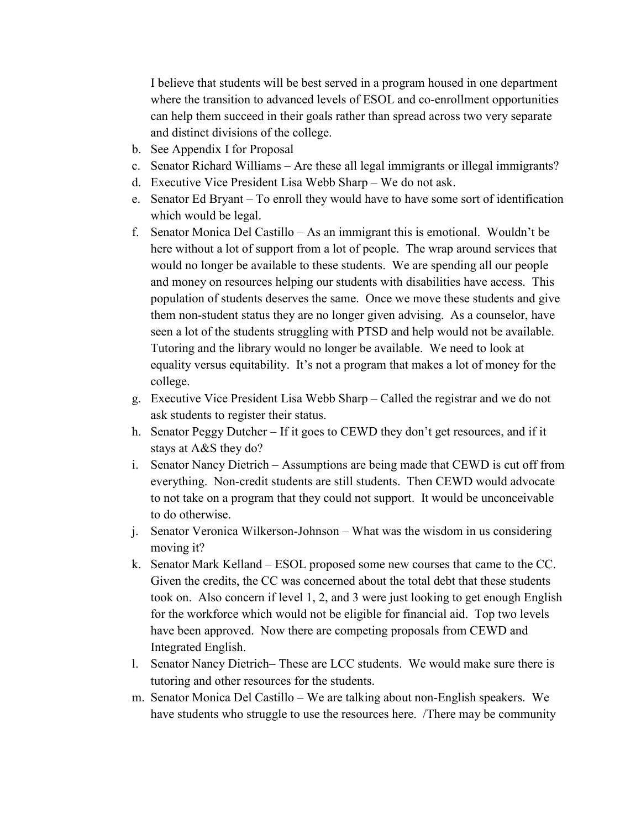I believe that students will be best served in a program housed in one department where the transition to advanced levels of ESOL and co-enrollment opportunities can help them succeed in their goals rather than spread across two very separate and distinct divisions of the college.

- b. See Appendix I for Proposal
- c. Senator Richard Williams Are these all legal immigrants or illegal immigrants?
- d. Executive Vice President Lisa Webb Sharp We do not ask.
- e. Senator Ed Bryant To enroll they would have to have some sort of identification which would be legal.
- f. Senator Monica Del Castillo As an immigrant this is emotional. Wouldn't be here without a lot of support from a lot of people. The wrap around services that would no longer be available to these students. We are spending all our people and money on resources helping our students with disabilities have access. This population of students deserves the same. Once we move these students and give them non-student status they are no longer given advising. As a counselor, have seen a lot of the students struggling with PTSD and help would not be available. Tutoring and the library would no longer be available. We need to look at equality versus equitability. It's not a program that makes a lot of money for the college.
- g. Executive Vice President Lisa Webb Sharp Called the registrar and we do not ask students to register their status.
- h. Senator Peggy Dutcher If it goes to CEWD they don't get resources, and if it stays at A&S they do?
- i. Senator Nancy Dietrich Assumptions are being made that CEWD is cut off from everything. Non-credit students are still students. Then CEWD would advocate to not take on a program that they could not support. It would be unconceivable to do otherwise.
- j. Senator Veronica Wilkerson-Johnson What was the wisdom in us considering moving it?
- k. Senator Mark Kelland ESOL proposed some new courses that came to the CC. Given the credits, the CC was concerned about the total debt that these students took on. Also concern if level 1, 2, and 3 were just looking to get enough English for the workforce which would not be eligible for financial aid. Top two levels have been approved. Now there are competing proposals from CEWD and Integrated English.
- l. Senator Nancy Dietrich– These are LCC students. We would make sure there is tutoring and other resources for the students.
- m. Senator Monica Del Castillo We are talking about non-English speakers. We have students who struggle to use the resources here. /There may be community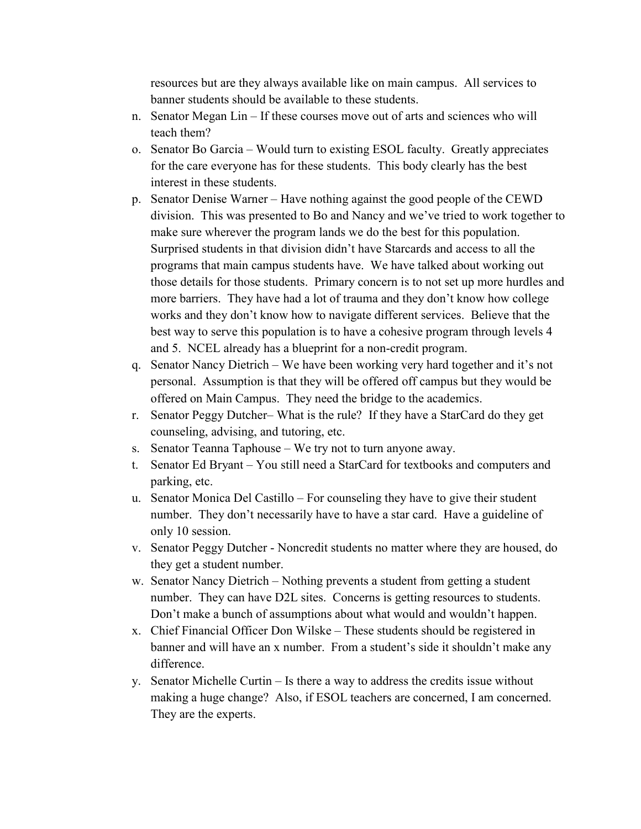resources but are they always available like on main campus. All services to banner students should be available to these students.

- n. Senator Megan Lin If these courses move out of arts and sciences who will teach them?
- o. Senator Bo Garcia Would turn to existing ESOL faculty. Greatly appreciates for the care everyone has for these students. This body clearly has the best interest in these students.
- p. Senator Denise Warner Have nothing against the good people of the CEWD division. This was presented to Bo and Nancy and we've tried to work together to make sure wherever the program lands we do the best for this population. Surprised students in that division didn't have Starcards and access to all the programs that main campus students have. We have talked about working out those details for those students. Primary concern is to not set up more hurdles and more barriers. They have had a lot of trauma and they don't know how college works and they don't know how to navigate different services. Believe that the best way to serve this population is to have a cohesive program through levels 4 and 5. NCEL already has a blueprint for a non-credit program.
- q. Senator Nancy Dietrich We have been working very hard together and it's not personal. Assumption is that they will be offered off campus but they would be offered on Main Campus. They need the bridge to the academics.
- r. Senator Peggy Dutcher– What is the rule? If they have a StarCard do they get counseling, advising, and tutoring, etc.
- s. Senator Teanna Taphouse We try not to turn anyone away.
- t. Senator Ed Bryant You still need a StarCard for textbooks and computers and parking, etc.
- u. Senator Monica Del Castillo For counseling they have to give their student number. They don't necessarily have to have a star card. Have a guideline of only 10 session.
- v. Senator Peggy Dutcher Noncredit students no matter where they are housed, do they get a student number.
- w. Senator Nancy Dietrich Nothing prevents a student from getting a student number. They can have D2L sites. Concerns is getting resources to students. Don't make a bunch of assumptions about what would and wouldn't happen.
- x. Chief Financial Officer Don Wilske These students should be registered in banner and will have an x number. From a student's side it shouldn't make any difference.
- y. Senator Michelle Curtin Is there a way to address the credits issue without making a huge change? Also, if ESOL teachers are concerned, I am concerned. They are the experts.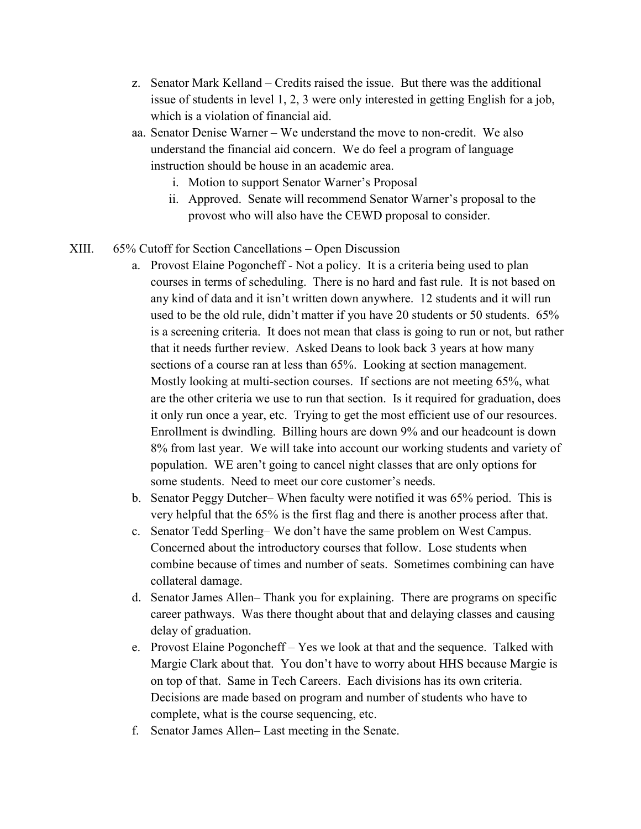- z. Senator Mark Kelland Credits raised the issue. But there was the additional issue of students in level 1, 2, 3 were only interested in getting English for a job, which is a violation of financial aid.
- aa. Senator Denise Warner We understand the move to non-credit. We also understand the financial aid concern. We do feel a program of language instruction should be house in an academic area.
	- i. Motion to support Senator Warner's Proposal
	- ii. Approved. Senate will recommend Senator Warner's proposal to the provost who will also have the CEWD proposal to consider.

#### XIII. 65% Cutoff for Section Cancellations – Open Discussion

- a. Provost Elaine Pogoncheff Not a policy. It is a criteria being used to plan courses in terms of scheduling. There is no hard and fast rule. It is not based on any kind of data and it isn't written down anywhere. 12 students and it will run used to be the old rule, didn't matter if you have 20 students or 50 students. 65% is a screening criteria. It does not mean that class is going to run or not, but rather that it needs further review. Asked Deans to look back 3 years at how many sections of a course ran at less than 65%. Looking at section management. Mostly looking at multi-section courses. If sections are not meeting 65%, what are the other criteria we use to run that section. Is it required for graduation, does it only run once a year, etc. Trying to get the most efficient use of our resources. Enrollment is dwindling. Billing hours are down 9% and our headcount is down 8% from last year. We will take into account our working students and variety of population. WE aren't going to cancel night classes that are only options for some students. Need to meet our core customer's needs.
- b. Senator Peggy Dutcher– When faculty were notified it was 65% period. This is very helpful that the 65% is the first flag and there is another process after that.
- c. Senator Tedd Sperling– We don't have the same problem on West Campus. Concerned about the introductory courses that follow. Lose students when combine because of times and number of seats. Sometimes combining can have collateral damage.
- d. Senator James Allen– Thank you for explaining. There are programs on specific career pathways. Was there thought about that and delaying classes and causing delay of graduation.
- e. Provost Elaine Pogoncheff Yes we look at that and the sequence. Talked with Margie Clark about that. You don't have to worry about HHS because Margie is on top of that. Same in Tech Careers. Each divisions has its own criteria. Decisions are made based on program and number of students who have to complete, what is the course sequencing, etc.
- f. Senator James Allen– Last meeting in the Senate.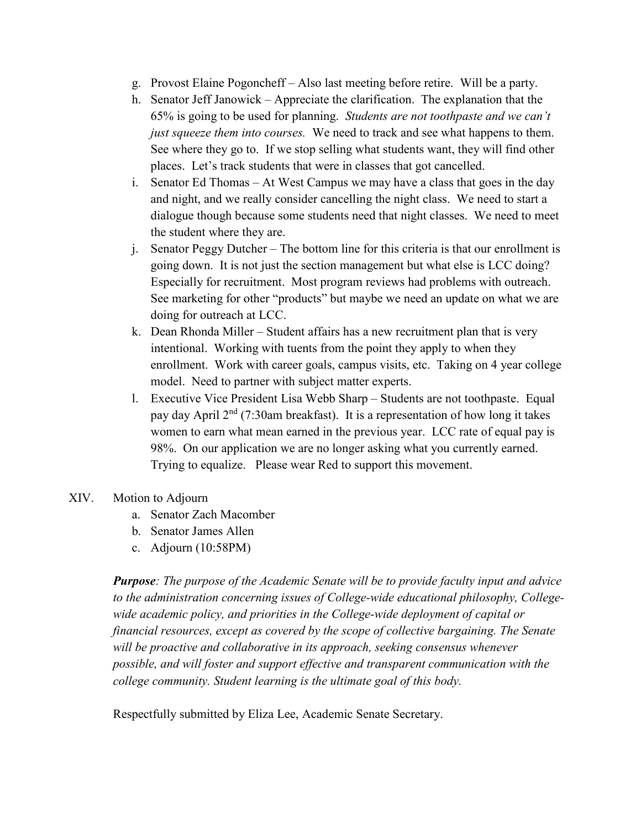- g. Provost Elaine Pogoncheff Also last meeting before retire. Will be a party.
- h. Senator Jeff Janowick Appreciate the clarification. The explanation that the 65% is going to be used for planning. *Students are not toothpaste and we can't just squeeze them into courses.* We need to track and see what happens to them. See where they go to. If we stop selling what students want, they will find other places. Let's track students that were in classes that got cancelled.
- i. Senator Ed Thomas At West Campus we may have a class that goes in the day and night, and we really consider cancelling the night class. We need to start a dialogue though because some students need that night classes. We need to meet the student where they are.
- j. Senator Peggy Dutcher The bottom line for this criteria is that our enrollment is going down. It is not just the section management but what else is LCC doing? Especially for recruitment. Most program reviews had problems with outreach. See marketing for other "products" but maybe we need an update on what we are doing for outreach at LCC.
- k. Dean Rhonda Miller Student affairs has a new recruitment plan that is very intentional. Working with tuents from the point they apply to when they enrollment. Work with career goals, campus visits, etc. Taking on 4 year college model. Need to partner with subject matter experts.
- l. Executive Vice President Lisa Webb Sharp Students are not toothpaste. Equal pay day April  $2<sup>nd</sup>$  (7:30am breakfast). It is a representation of how long it takes women to earn what mean earned in the previous year. LCC rate of equal pay is 98%. On our application we are no longer asking what you currently earned. Trying to equalize. Please wear Red to support this movement.
- XIV. Motion to Adjourn
	- a. Senator Zach Macomber
	- b. Senator James Allen
	- c. Adjourn (10:58PM)

*Purpose: The purpose of the Academic Senate will be to provide faculty input and advice to the administration concerning issues of College-wide educational philosophy, Collegewide academic policy, and priorities in the College-wide deployment of capital or financial resources, except as covered by the scope of collective bargaining. The Senate will be proactive and collaborative in its approach, seeking consensus whenever possible, and will foster and support effective and transparent communication with the college community. Student learning is the ultimate goal of this body.*

Respectfully submitted by Eliza Lee, Academic Senate Secretary.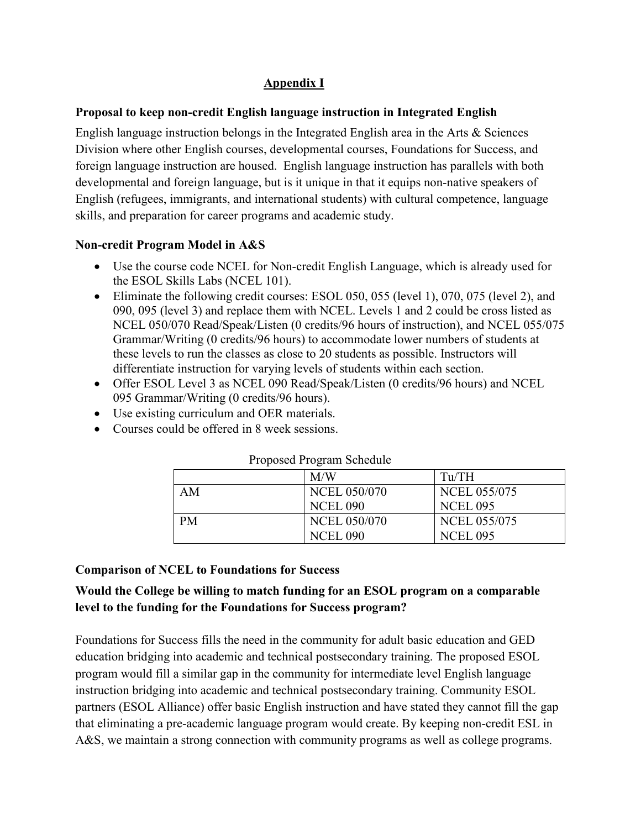## **Appendix I**

### **Proposal to keep non-credit English language instruction in Integrated English**

English language instruction belongs in the Integrated English area in the Arts & Sciences Division where other English courses, developmental courses, Foundations for Success, and foreign language instruction are housed. English language instruction has parallels with both developmental and foreign language, but is it unique in that it equips non-native speakers of English (refugees, immigrants, and international students) with cultural competence, language skills, and preparation for career programs and academic study.

### **Non-credit Program Model in A&S**

- Use the course code NCEL for Non-credit English Language, which is already used for the ESOL Skills Labs (NCEL 101).
- Eliminate the following credit courses: ESOL 050, 055 (level 1), 070, 075 (level 2), and 090, 095 (level 3) and replace them with NCEL. Levels 1 and 2 could be cross listed as NCEL 050/070 Read/Speak/Listen (0 credits/96 hours of instruction), and NCEL 055/075 Grammar/Writing (0 credits/96 hours) to accommodate lower numbers of students at these levels to run the classes as close to 20 students as possible. Instructors will differentiate instruction for varying levels of students within each section.
- Offer ESOL Level 3 as NCEL 090 Read/Speak/Listen (0 credits/96 hours) and NCEL 095 Grammar/Writing (0 credits/96 hours).
- Use existing curriculum and OER materials.
- Courses could be offered in 8 week sessions.

|    | M/W                 | Tu/TH               |
|----|---------------------|---------------------|
| AM | <b>NCEL 050/070</b> | <b>NCEL 055/075</b> |
|    | <b>NCEL 090</b>     | <b>NCEL 095</b>     |
| PM | <b>NCEL 050/070</b> | <b>NCEL 055/075</b> |
|    | <b>NCEL 090</b>     | <b>NCEL 095</b>     |

#### Proposed Program Schedule

### **Comparison of NCEL to Foundations for Success**

# **Would the College be willing to match funding for an ESOL program on a comparable level to the funding for the Foundations for Success program?**

Foundations for Success fills the need in the community for adult basic education and GED education bridging into academic and technical postsecondary training. The proposed ESOL program would fill a similar gap in the community for intermediate level English language instruction bridging into academic and technical postsecondary training. Community ESOL partners (ESOL Alliance) offer basic English instruction and have stated they cannot fill the gap that eliminating a pre-academic language program would create. By keeping non-credit ESL in A&S, we maintain a strong connection with community programs as well as college programs.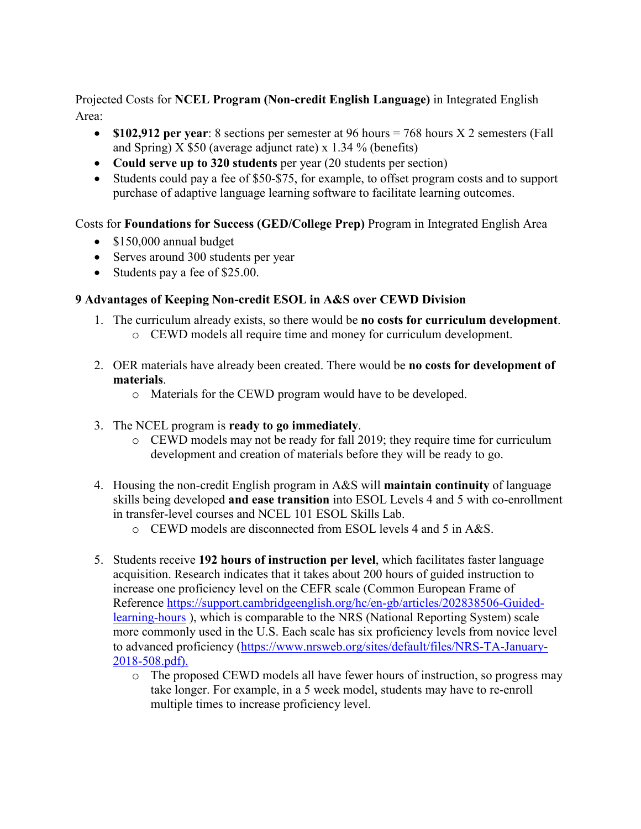Projected Costs for **NCEL Program (Non-credit English Language)** in Integrated English Area:

- **\$102,912 per year**: 8 sections per semester at 96 hours = 768 hours X 2 semesters (Fall and Spring) X \$50 (average adjunct rate) x 1.34 % (benefits)
- **Could serve up to 320 students** per year (20 students per section)
- Students could pay a fee of \$50-\$75, for example, to offset program costs and to support purchase of adaptive language learning software to facilitate learning outcomes.

Costs for **Foundations for Success (GED/College Prep)** Program in Integrated English Area

- \$150,000 annual budget
- Serves around 300 students per year
- Students pay a fee of \$25.00.

### **9 Advantages of Keeping Non-credit ESOL in A&S over CEWD Division**

- 1. The curriculum already exists, so there would be **no costs for curriculum development**. o CEWD models all require time and money for curriculum development.
- 2. OER materials have already been created. There would be **no costs for development of materials**.
	- o Materials for the CEWD program would have to be developed.
- 3. The NCEL program is **ready to go immediately**.
	- o CEWD models may not be ready for fall 2019; they require time for curriculum development and creation of materials before they will be ready to go.
- 4. Housing the non-credit English program in A&S will **maintain continuity** of language skills being developed **and ease transition** into ESOL Levels 4 and 5 with co-enrollment in transfer-level courses and NCEL 101 ESOL Skills Lab.
	- $\circ$  CEWD models are disconnected from ESOL levels 4 and 5 in A&S.
- 5. Students receive **192 hours of instruction per level**, which facilitates faster language acquisition. Research indicates that it takes about 200 hours of guided instruction to increase one proficiency level on the CEFR scale (Common European Frame of Reference [https://support.cambridgeenglish.org/hc/en-gb/articles/202838506-Guided](https://support.cambridgeenglish.org/hc/en-gb/articles/202838506-Guided-learning-hours)[learning-hours](https://support.cambridgeenglish.org/hc/en-gb/articles/202838506-Guided-learning-hours) ), which is comparable to the NRS (National Reporting System) scale more commonly used in the U.S. Each scale has six proficiency levels from novice level to advanced proficiency [\(https://www.nrsweb.org/sites/default/files/NRS-TA-January-](https://www.nrsweb.org/sites/default/files/NRS-TA-January-2018-508.pdf)[2018-508.pdf\)](https://www.nrsweb.org/sites/default/files/NRS-TA-January-2018-508.pdf).
	- o The proposed CEWD models all have fewer hours of instruction, so progress may take longer. For example, in a 5 week model, students may have to re-enroll multiple times to increase proficiency level.